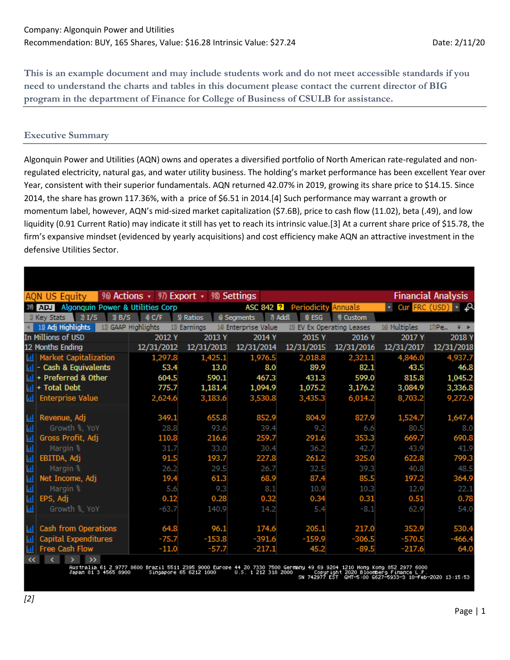**This is an example document and may include students work and do not meet accessible standards if you need to understand the charts and tables in this document please contact the current director of BIG program in the department of Finance for College of Business of CSULB for assistance.**

# **Executive Summary**

Algonquin Power and Utilities (AQN) owns and operates a diversified portfolio of North American rate-regulated and nonregulated electricity, natural gas, and water utility business. The holding's market performance has been excellent Year over Year, consistent with their superior fundamentals. AQN returned 42.07% in 2019, growing its share price to \$14.15. Since 2014, the share has grown 117.36%, with a price of \$6.51 in 2014.[4] Such performance may warrant a growth or momentum label, however, AQN's mid-sized market capitalization (\$7.6B), price to cash flow (11.02), beta (.49), and low liquidity (0.91 Current Ratio) may indicate it still has yet to reach its intrinsic value.[3] At a current share price of \$15.78, the firm's expansive mindset (evidenced by yearly acquisitions) and cost efficiency make AQN an attractive investment in the defensive Utilities Sector.

|                | AQN US Equity                               | 96) Actions $\cdot$ 97) Export $\cdot$ 98) Settings |              |                        |             |                            |               | <b>Financial Analysis</b>                  |
|----------------|---------------------------------------------|-----------------------------------------------------|--------------|------------------------|-------------|----------------------------|---------------|--------------------------------------------|
|                | Algonquin Power & Utilities Corp<br>39) ADJ |                                                     |              | ASC 842 <b>2</b>       | Periodicity | Annuals                    |               | - Cur FRC (USD) - Q                        |
|                | 21/S<br>3B/S<br>1) Key Stats                | 4C/F                                                | 5) Ratios    | 6) Segments<br>7) Addl | 8 ESG       | 9) Custom                  |               |                                            |
|                | 11) Adj Highlights                          | 12) GAAP Highlights                                 | 13) Earnings | 14) Enterprise Value   |             | 15) EV Ex Operating Leases | 16) Multiples | 17) Pe<br>$\overline{\mathbf{v}}$ <b>F</b> |
|                | In Millions of USD                          | 2012 Y                                              | 2013 Y       | 2014 Y                 | 2015 Y      | 2016 Y                     | 2017 Y        | 2018 Y                                     |
|                | 12 Months Ending                            | 12/31/2012                                          | 12/31/2013   | 12/31/2014             | 12/31/2015  | 12/31/2016                 | 12/31/2017    | 12/31/2018                                 |
| - III I        | <b>Market Capitalization</b>                | 1,297.8                                             | 1,425.1      | 1,976.5                | 2,018.8     | 2,321.1                    | 4,846.0       | 4,937.7                                    |
| $\mathbf{d}$   | Cash & Equivalents                          | 53.4                                                | 13.0         | 8.0                    | 89.9        | 82.1                       | 43.5          | 46.8                                       |
|                | III + Preferred & Other                     | 604.5                                               | 590.1        | 467.3                  | 431.3       | 599.0                      | 815.8         | 1,045.2                                    |
|                | $\ln$ + Total Debt                          | 775.7                                               | 1,181.4      | 1,094.9                | 1,075.2     | 3,176.2                    | 3,084.9       | 3,336.8                                    |
| <b>Add</b>     | <b>Enterprise Value</b>                     | 2,624.6                                             | 3,183.6      | 3,530.8                | 3,435.3     | 6,014.2                    | 8,703.2       | 9,272.9                                    |
|                |                                             |                                                     |              |                        |             |                            |               |                                            |
| 圃              | Revenue, Adj                                | 349.1                                               | 655.8        | 852.9                  | 804.9       | 827.9                      | 1,524.7       | 1,647.4                                    |
| $\mathbf{H}$   | Growth %, YoY                               | 28.8                                                | 93.6         | 39.4                   | 9.2         | 6.6                        | 80.5          | 8.0                                        |
| <u>nd</u>      | Gross Profit, Adj                           | 110.8                                               | 216.6        | 259.7                  | 291.6       | 353.3                      | 669.7         | 690.8                                      |
| $\mathbf{H}$   | Margin %                                    | 31.7                                                | 33.0         | 30.4                   | 36.2        | 42.7                       | 43.9          | 41.9                                       |
| <u>ان</u> ا    | EBITDA, Adj                                 | 91.5                                                | 193.7        | 227.8                  | 261.2       | 325.0                      | 622.8         | 799.3                                      |
| <b>Ind</b>     | Margin %                                    | 26.2                                                | 29.5         | 26.7                   | 32.5        | 39.3                       | 40.8          | 48.5                                       |
| <u>ان</u> ا    | Net Income, Adj                             | 19.4                                                | 61.3         | 68.9                   | 87.4        | 85.5                       | 197.2         | 364.9                                      |
| $\mathbf{H}$   | Margin %                                    | 5.6                                                 | 9.3          | 8.1                    | 10.9        | 10.3                       | 12.9          | 22.1                                       |
| 画              | EPS, Adj                                    | 0.12                                                | 0.28         | 0.32                   | 0.34        | 0.31                       | 0.51          | 0.78                                       |
| -lat           | Growth %, YoY                               | $-63.7$                                             | 140.9        | 14.2                   | 5.4         | $-8.1$                     | 62.9          | 54.0                                       |
|                |                                             |                                                     |              |                        |             |                            |               |                                            |
| <b>M</b>       | Cash from Operations                        | 64.8                                                | 96.1         | 174.6                  | 205.1       | 217.0                      | 352.9         | 530.4                                      |
| <u>       </u> | Capital Expenditures                        | $-75.7$                                             | $-153.8$     | $-391.6$               | $-159.9$    | $-306.5$                   | $-570.5$      | $-466.4$                                   |
|                | II Free Cash Flow                           | $-11.0$                                             | $-57.7$      | $-217.1$               | 45.2        | $-89.5$                    | $-217.6$      | 64.0                                       |
|                | $\alpha$ $\alpha$ $\alpha$                  |                                                     |              |                        |             |                            |               |                                            |

Australia 61 2 9777 8600 Brazil 5511 2395 9000 Europe 44 20 7330 7500 Germany 49 69 9204 1210 Hong Kong 852 2977 6000<br>Japan 81 3 4565 8900 Singapore 65 6212 1000 U.S. 1 212 318 2000 Copyright 2020 Bloomber eb-2020 13:15:53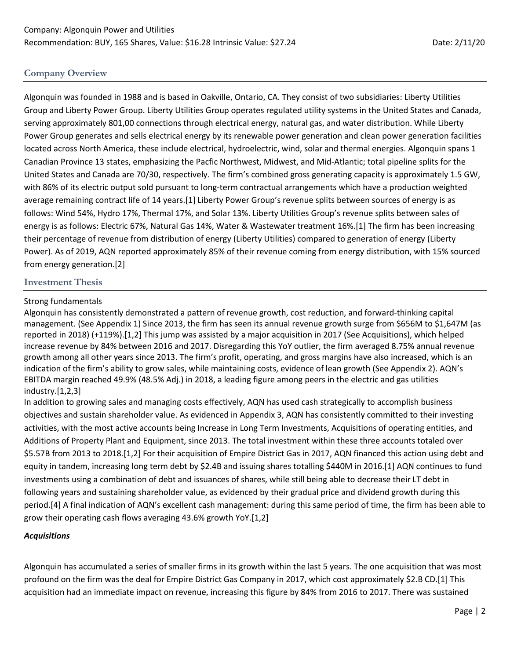# **Company Overview**

Algonquin was founded in 1988 and is based in Oakville, Ontario, CA. They consist of two subsidiaries: Liberty Utilities Group and Liberty Power Group. Liberty Utilities Group operates regulated utility systems in the United States and Canada, serving approximately 801,00 connections through electrical energy, natural gas, and water distribution. While Liberty Power Group generates and sells electrical energy by its renewable power generation and clean power generation facilities located across North America, these include electrical, hydroelectric, wind, solar and thermal energies. Algonquin spans 1 Canadian Province 13 states, emphasizing the Pacfic Northwest, Midwest, and Mid-Atlantic; total pipeline splits for the United States and Canada are 70/30, respectively. The firm's combined gross generating capacity is approximately 1.5 GW, with 86% of its electric output sold pursuant to long-term contractual arrangements which have a production weighted average remaining contract life of 14 years.[1] Liberty Power Group's revenue splits between sources of energy is as follows: Wind 54%, Hydro 17%, Thermal 17%, and Solar 13%. Liberty Utilities Group's revenue splits between sales of energy is as follows: Electric 67%, Natural Gas 14%, Water & Wastewater treatment 16%.[1] The firm has been increasing their percentage of revenue from distribution of energy (Liberty Utilities) compared to generation of energy (Liberty Power). As of 2019, AQN reported approximately 85% of their revenue coming from energy distribution, with 15% sourced from energy generation.[2]

### **Investment Thesis**

### Strong fundamentals

Algonquin has consistently demonstrated a pattern of revenue growth, cost reduction, and forward-thinking capital management. (See Appendix 1) Since 2013, the firm has seen its annual revenue growth surge from \$656M to \$1,647M (as reported in 2018) (+119%).[1,2] This jump was assisted by a major acquisition in 2017 (See Acquisitions), which helped increase revenue by 84% between 2016 and 2017. Disregarding this YoY outlier, the firm averaged 8.75% annual revenue growth among all other years since 2013. The firm's profit, operating, and gross margins have also increased, which is an indication of the firm's ability to grow sales, while maintaining costs, evidence of lean growth (See Appendix 2). AQN's EBITDA margin reached 49.9% (48.5% Adj.) in 2018, a leading figure among peers in the electric and gas utilities industry.[1,2,3]

In addition to growing sales and managing costs effectively, AQN has used cash strategically to accomplish business objectives and sustain shareholder value. As evidenced in Appendix 3, AQN has consistently committed to their investing activities, with the most active accounts being Increase in Long Term Investments, Acquisitions of operating entities, and Additions of Property Plant and Equipment, since 2013. The total investment within these three accounts totaled over \$5.57B from 2013 to 2018.[1,2] For their acquisition of Empire District Gas in 2017, AQN financed this action using debt and equity in tandem, increasing long term debt by \$2.4B and issuing shares totalling \$440M in 2016.[1] AQN continues to fund investments using a combination of debt and issuances of shares, while still being able to decrease their LT debt in following years and sustaining shareholder value, as evidenced by their gradual price and dividend growth during this period.[4] A final indication of AQN's excellent cash management: during this same period of time, the firm has been able to grow their operating cash flows averaging 43.6% growth YoY.[1,2]

### *Acquisitions*

Algonquin has accumulated a series of smaller firms in its growth within the last 5 years. The one acquisition that was most profound on the firm was the deal for Empire District Gas Company in 2017, which cost approximately \$2.B CD.[1] This acquisition had an immediate impact on revenue, increasing this figure by 84% from 2016 to 2017. There was sustained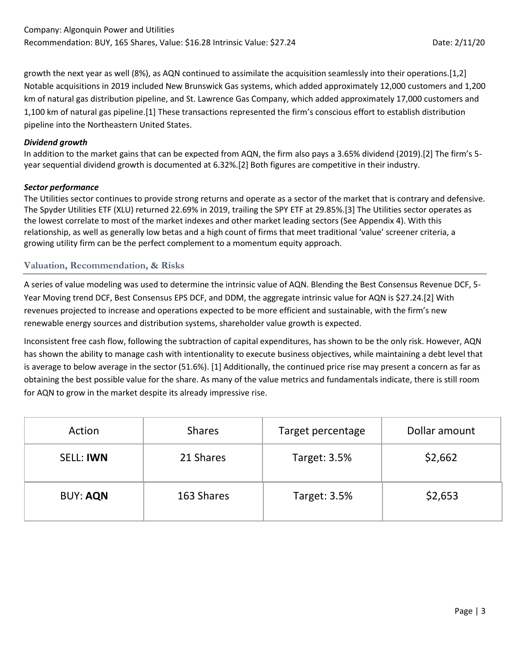growth the next year as well (8%), as AQN continued to assimilate the acquisition seamlessly into their operations.[1,2] Notable acquisitions in 2019 included New Brunswick Gas systems, which added approximately 12,000 customers and 1,200 km of natural gas distribution pipeline, and St. Lawrence Gas Company, which added approximately 17,000 customers and 1,100 km of natural gas pipeline.[1] These transactions represented the firm's conscious effort to establish distribution pipeline into the Northeastern United States.

### *Dividend growth*

In addition to the market gains that can be expected from AQN, the firm also pays a 3.65% dividend (2019).[2] The firm's 5 year sequential dividend growth is documented at 6.32%.[2] Both figures are competitive in their industry.

#### *Sector performance*

The Utilities sector continues to provide strong returns and operate as a sector of the market that is contrary and defensive. The Spyder Utilities ETF (XLU) returned 22.69% in 2019, trailing the SPY ETF at 29.85%.[3] The Utilities sector operates as the lowest correlate to most of the market indexes and other market leading sectors (See Appendix 4). With this relationship, as well as generally low betas and a high count of firms that meet traditional 'value' screener criteria, a growing utility firm can be the perfect complement to a momentum equity approach.

### **Valuation, Recommendation, & Risks**

A series of value modeling was used to determine the intrinsic value of AQN. Blending the Best Consensus Revenue DCF, 5- Year Moving trend DCF, Best Consensus EPS DCF, and DDM, the aggregate intrinsic value for AQN is \$27.24.[2] With revenues projected to increase and operations expected to be more efficient and sustainable, with the firm's new renewable energy sources and distribution systems, shareholder value growth is expected.

Inconsistent free cash flow, following the subtraction of capital expenditures, has shown to be the only risk. However, AQN has shown the ability to manage cash with intentionality to execute business objectives, while maintaining a debt level that is average to below average in the sector (51.6%). [1] Additionally, the continued price rise may present a concern as far as obtaining the best possible value for the share. As many of the value metrics and fundamentals indicate, there is still room for AQN to grow in the market despite its already impressive rise.

| Action           | <b>Shares</b> | Target percentage   | Dollar amount |  |  |
|------------------|---------------|---------------------|---------------|--|--|
| <b>SELL: IWN</b> | 21 Shares     |                     | \$2,662       |  |  |
| <b>BUY: AQN</b>  | 163 Shares    | <b>Target: 3.5%</b> | \$2,653       |  |  |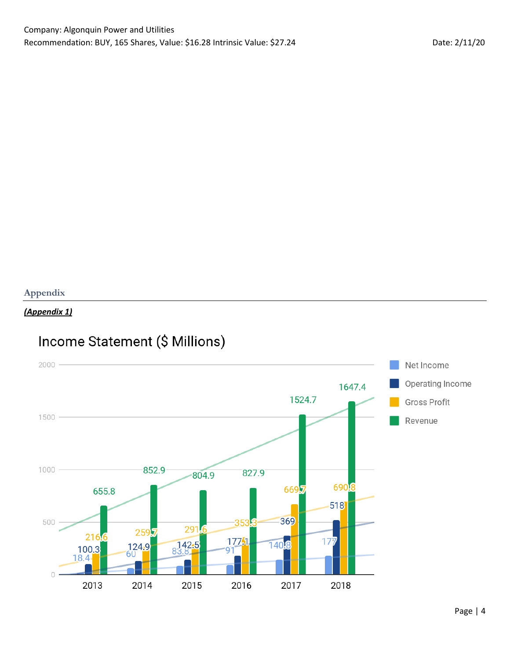# **Appendix**

# *(Appendix 1)*

# Income Statement (\$ Millions)

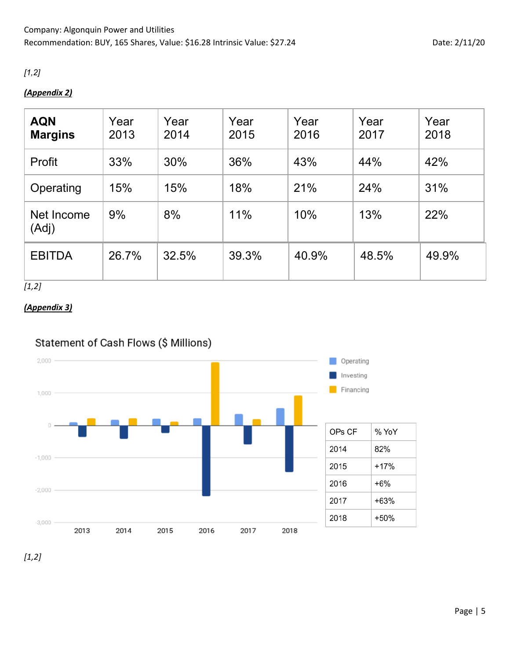# *[1,2]*

# *(Appendix 2)*

| <b>AQN</b><br><b>Margins</b> | Year<br>2013 | Year<br>2014 | Year<br>2015 | Year<br>2016 | Year<br>2017 | Year<br>2018 |
|------------------------------|--------------|--------------|--------------|--------------|--------------|--------------|
| Profit                       | 33%          | 30%          | 36%          | 43%          | 44%          | 42%          |
| Operating                    | 15%          | 15%          | 18%          | 21%          | 24%          | 31%          |
| Net Income<br>(Adj)          | 9%           | 8%           | 11%          | 10%          | 13%          | 22%          |
| <b>EBITDA</b>                | 26.7%        | 32.5%        | 39.3%        | 40.9%        | 48.5%        | 49.9%        |

*[1,2]*

# *(Appendix 3)*

# Statement of Cash Flows (\$ Millions)



*[1,2]*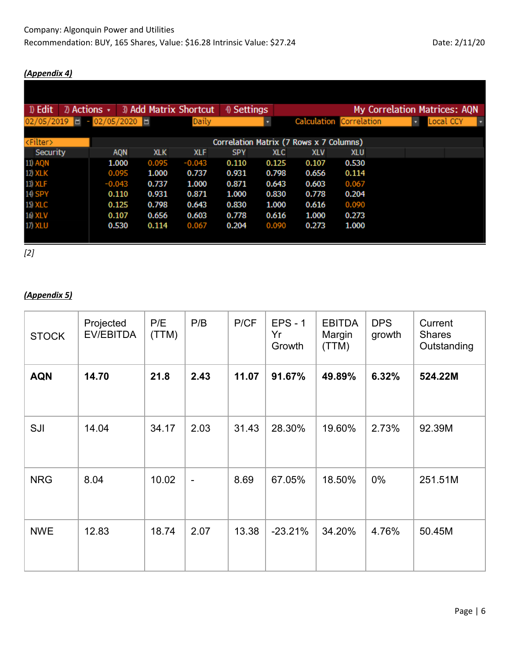## *(Appendix 4)*

| <sup>1</sup> Edit   | $\mathbb{Z}$ Actions $\star$ |                      |            |            | 3) Add Matrix Shortcut | 4) Settings |            |                                         |                                | <b>My Correlation Matrices: AQN</b> |           |  |
|---------------------|------------------------------|----------------------|------------|------------|------------------------|-------------|------------|-----------------------------------------|--------------------------------|-------------------------------------|-----------|--|
| $02/05/2019$ $\Box$ |                              | $-02/05/2020$ $\Box$ |            |            | Daily                  |             |            |                                         | <b>Calculation Correlation</b> |                                     | Local CCY |  |
|                     |                              |                      |            |            |                        |             |            |                                         |                                |                                     |           |  |
| <filter></filter>   |                              |                      |            |            |                        |             |            | Correlation Matrix (7 Rows x 7 Columns) |                                |                                     |           |  |
| Security            |                              |                      | <b>AQN</b> | <b>XLK</b> | <b>XLF</b>             | <b>SPY</b>  | <b>XLC</b> | <b>XLV</b>                              | <b>XLU</b>                     |                                     |           |  |
| <b>11) AQN</b>      |                              |                      | 1.000      | 0.095      | $-0.043$               | 0.110       | 0.125      | 0.107                                   | 0.530                          |                                     |           |  |
| 12) XLK             |                              |                      | 0.095      | 1.000      | 0.737                  | 0.931       | 0.798      | 0.656                                   | 0.114                          |                                     |           |  |
| 13) XLF             |                              | $-0.043$             |            | 0.737      | 1.000                  | 0.871       | 0.643      | 0.603                                   | 0.067                          |                                     |           |  |
| 14) SPY             |                              |                      | 0.110      | 0.931      | 0.871                  | 1.000       | 0.830      | 0.778                                   | 0.204                          |                                     |           |  |
| 15) XLC             |                              |                      | 0.125      | 0.798      | 0.643                  | 0.830       | 1.000      | 0.616                                   | 0.090                          |                                     |           |  |
| 16) XLV             |                              |                      | 0.107      | 0.656      | 0.603                  | 0.778       | 0.616      | 1.000                                   | 0.273                          |                                     |           |  |
| 17) XLU             |                              |                      | 0.530      | 0.114      | 0.067                  | 0.204       | 0.090      | 0.273                                   | 1.000                          |                                     |           |  |
|                     |                              |                      |            |            |                        |             |            |                                         |                                |                                     |           |  |

*[2]*

# *(Appendix 5)*

| <b>STOCK</b> | Projected<br>EV/EBITDA | P/E<br>(TTM) | P/B            | P/CF  | $EPS - 1$<br>Yr<br>Growth | <b>EBITDA</b><br>Margin<br>(TTM) | <b>DPS</b><br>growth | Current<br><b>Shares</b><br>Outstanding |
|--------------|------------------------|--------------|----------------|-------|---------------------------|----------------------------------|----------------------|-----------------------------------------|
| <b>AQN</b>   | 14.70                  | 21.8         | 2.43           | 11.07 | 91.67%                    | 49.89%                           | 6.32%                | 524.22M                                 |
| SJI          | 14.04                  | 34.17        | 2.03           | 31.43 | 28.30%                    | 19.60%                           | 2.73%                | 92.39M                                  |
| <b>NRG</b>   | 8.04                   | 10.02        | $\blacksquare$ | 8.69  | 67.05%                    | 18.50%                           | 0%                   | 251.51M                                 |
| <b>NWE</b>   | 12.83                  | 18.74        | 2.07           | 13.38 | $-23.21%$                 | 34.20%                           | 4.76%                | 50.45M                                  |